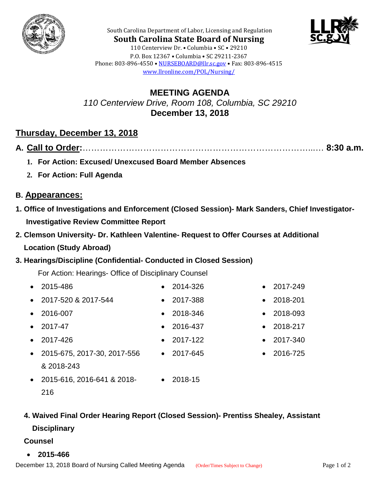



**South Carolina State Board of Nursing** 110 Centerview Dr. • Columbia • SC • 29210 P.O. Box 12367 • Columbia • SC 29211-2367 Phone: 803-896-4550 • [NURSEBOARD@llr.sc.gov](mailto:contactllr@llr.sc.gov) • Fax: 803-896-4515 [www.llronline.com/POL/Nursing/](http://www.llronline.com/POL/Nursing/)

South Carolina Department of Labor, Licensing and Regulation

### **MEETING AGENDA** *110 Centerview Drive, Room 108, Columbia, SC 29210* **December 13, 2018**

## **Thursday, December 13, 2018**

|--|--|--|

- **1. For Action: Excused/ Unexcused Board Member Absences**
- **2. For Action: Full Agenda**

#### **B. Appearances:**

- **1. Office of Investigations and Enforcement (Closed Session)- Mark Sanders, Chief Investigator- Investigative Review Committee Report**
- **2. Clemson University- Dr. Kathleen Valentine- Request to Offer Courses at Additional Location (Study Abroad)**

#### **3. Hearings/Discipline (Confidential- Conducted in Closed Session)**

For Action: Hearings- Office of Disciplinary Counsel

- 2015-486 2014-326 2017-249 • 2017-520 & 2017-544 • 2017-388 • 2018-201 • 2016-007 • 2018-346 • 2018-093 • 2017-47 • 2016-437 • 2018-217 • 2017-426 • 2017-122 • 2017-340 • 2015-675, 2017-30, 2017-556 & 2018-243 • 2017-645 • 2016-725
- 2015-616, 2016-641 & 2018- 216 • 2018-15

# **4. Waived Final Order Hearing Report (Closed Session)- Prentiss Shealey, Assistant**

#### **Disciplinary**

- **Counsel**
- **2015-466**